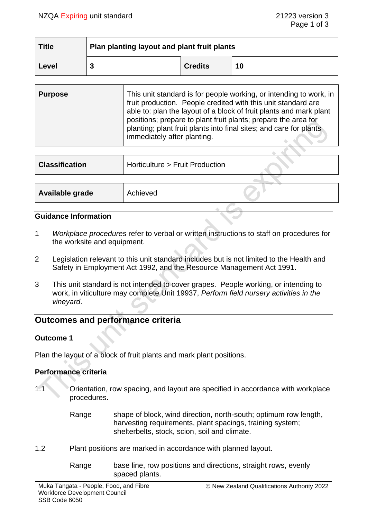| <b>Title</b> | Plan planting layout and plant fruit plants |                |    |
|--------------|---------------------------------------------|----------------|----|
| Level        |                                             | <b>Credits</b> | 10 |

| <b>Purpose</b> | This unit standard is for people working, or intending to work, in<br>fruit production. People credited with this unit standard are<br>able to: plan the layout of a block of fruit plants and mark plant<br>positions; prepare to plant fruit plants; prepare the area for<br>planting; plant fruit plants into final sites; and care for plants<br>immediately after planting. |
|----------------|----------------------------------------------------------------------------------------------------------------------------------------------------------------------------------------------------------------------------------------------------------------------------------------------------------------------------------------------------------------------------------|
|                |                                                                                                                                                                                                                                                                                                                                                                                  |

| Horticulture > Fruit Production |          |
|---------------------------------|----------|
|                                 |          |
|                                 |          |
|                                 | Achieved |

#### **Guidance Information**

- 1 *Workplace procedures* refer to verbal or written instructions to staff on procedures for the worksite and equipment.
- 2 Legislation relevant to this unit standard includes but is not limited to the Health and Safety in Employment Act 1992, and the Resource Management Act 1991.
- 3 This unit standard is not intended to cover grapes. People working, or intending to work, in viticulture may complete Unit 19937, *Perform field nursery activities in the vineyard*.

# **Outcomes and performance criteria**

#### **Outcome 1**

Plan the layout of a block of fruit plants and mark plant positions.

#### **Performance criteria**

- 1.1 Orientation, row spacing, and layout are specified in accordance with workplace procedures.
	- Range shape of block, wind direction, north-south; optimum row length, harvesting requirements, plant spacings, training system; shelterbelts, stock, scion, soil and climate.
- 1.2 Plant positions are marked in accordance with planned layout.
	- Range base line, row positions and directions, straight rows, evenly spaced plants.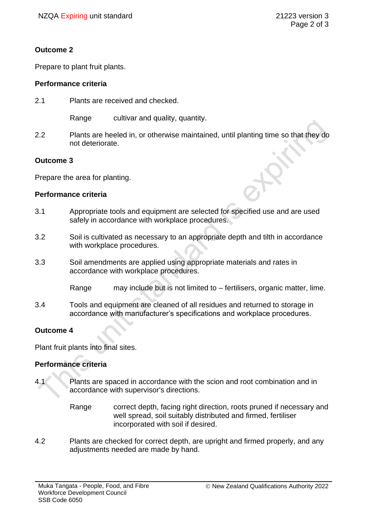# **Outcome 2**

Prepare to plant fruit plants.

### **Performance criteria**

2.1 Plants are received and checked.

Range cultivar and quality, quantity.

2.2 Plants are heeled in, or otherwise maintained, until planting time so that they do not deteriorate.

### **Outcome 3**

Prepare the area for planting.

#### **Performance criteria**

- 3.1 Appropriate tools and equipment are selected for specified use and are used safely in accordance with workplace procedures.
- 3.2 Soil is cultivated as necessary to an appropriate depth and tilth in accordance with workplace procedures.
- 3.3 Soil amendments are applied using appropriate materials and rates in accordance with workplace procedures.

Range may include but is not limited to – fertilisers, organic matter, lime.

3.4 Tools and equipment are cleaned of all residues and returned to storage in accordance with manufacturer's specifications and workplace procedures.

# **Outcome 4**

Plant fruit plants into final sites.

# **Performance criteria**

- 4.1 Plants are spaced in accordance with the scion and root combination and in accordance with supervisor's directions.
	- Range correct depth, facing right direction, roots pruned if necessary and well spread, soil suitably distributed and firmed, fertiliser incorporated with soil if desired.
- 4.2 Plants are checked for correct depth, are upright and firmed properly, and any adjustments needed are made by hand.